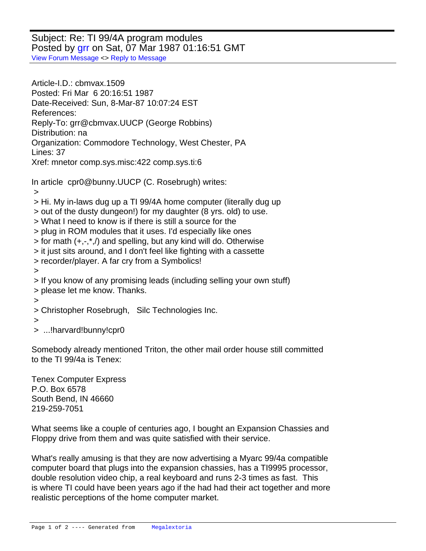Subject: Re: TI 99/4A program modules Posted by [grr](http://www.megalextoria.com/forum2/index.php?t=usrinfo&id=18626) on Sat, 07 Mar 1987 01:16:51 GMT [View Forum Message](http://www.megalextoria.com/forum2/index.php?t=rview&th=86376&goto=281256#msg_281256) <> [Reply to Message](http://www.megalextoria.com/forum2/index.php?t=post&reply_to=281256)

Article-I.D.: cbmvax.1509 Posted: Fri Mar 6 20:16:51 1987 Date-Received: Sun, 8-Mar-87 10:07:24 EST References: Reply-To: grr@cbmvax.UUCP (George Robbins) Distribution: na Organization: Commodore Technology, West Chester, PA Lines: 37 Xref: mnetor comp.sys.misc:422 comp.sys.ti:6

In article cpr0@bunny.UUCP (C. Rosebrugh) writes:

>

- > Hi. My in-laws dug up a TI 99/4A home computer (literally dug up
- > out of the dusty dungeon!) for my daughter (8 yrs. old) to use.
- > What I need to know is if there is still a source for the
- > plug in ROM modules that it uses. I'd especially like ones
- $>$  for math  $(+,-,*,')$  and spelling, but any kind will do. Otherwise
- > it just sits around, and I don't feel like fighting with a cassette
- > recorder/player. A far cry from a Symbolics!
- >
- > If you know of any promising leads (including selling your own stuff)
- > please let me know. Thanks.

>

> Christopher Rosebrugh, Silc Technologies Inc.

>

> ...!harvard!bunny!cpr0

Somebody already mentioned Triton, the other mail order house still committed to the TI 99/4a is Tenex:

Tenex Computer Express P.O. Box 6578 South Bend, IN 46660 219-259-7051

What seems like a couple of centuries ago, I bought an Expansion Chassies and Floppy drive from them and was quite satisfied with their service.

What's really amusing is that they are now advertising a Myarc 99/4a compatible computer board that plugs into the expansion chassies, has a TI9995 processor, double resolution video chip, a real keyboard and runs 2-3 times as fast. This is where TI could have been years ago if the had had their act together and more realistic perceptions of the home computer market.